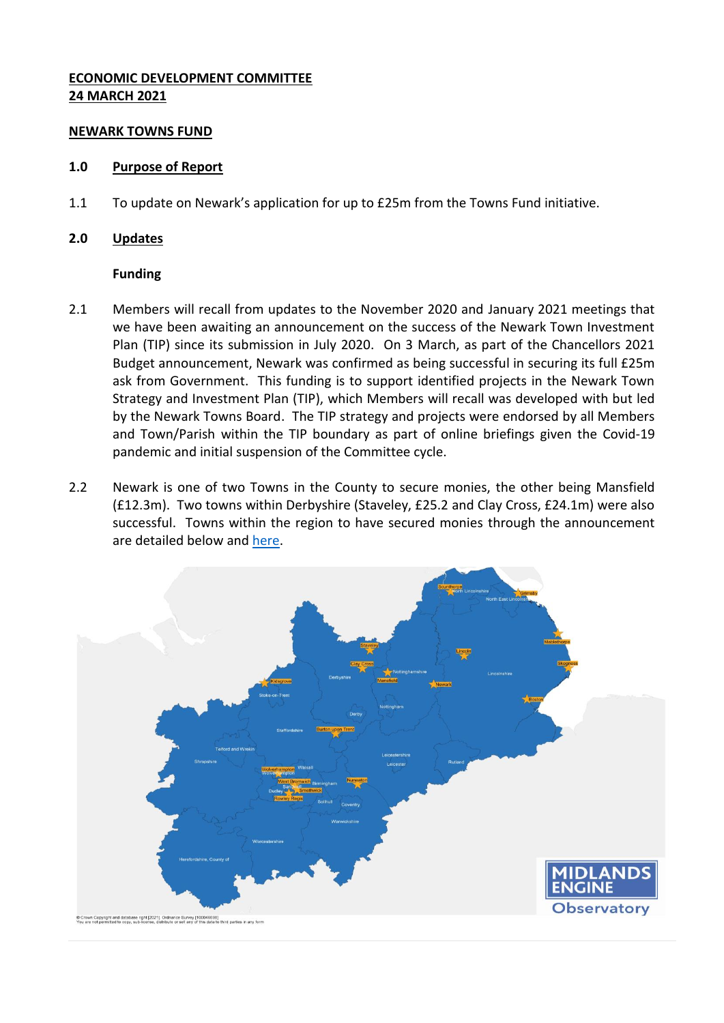## **ECONOMIC DEVELOPMENT COMMITTEE 24 MARCH 2021**

### **NEWARK TOWNS FUND**

#### **1.0 Purpose of Report**

1.1 To update on Newark's application for up to £25m from the Towns Fund initiative.

### **2.0 Updates**

### **Funding**

- 2.1 Members will recall from updates to the November 2020 and January 2021 meetings that we have been awaiting an announcement on the success of the Newark Town Investment Plan (TIP) since its submission in July 2020. On 3 March, as part of the Chancellors 2021 Budget announcement, Newark was confirmed as being successful in securing its full £25m ask from Government. This funding is to support identified projects in the Newark Town Strategy and Investment Plan (TIP), which Members will recall was developed with but led by the Newark Towns Board. The TIP strategy and projects were endorsed by all Members and Town/Parish within the TIP boundary as part of online briefings given the Covid-19 pandemic and initial suspension of the Committee cycle.
- 2.2 Newark is one of two Towns in the County to secure monies, the other being Mansfield (£12.3m). Two towns within Derbyshire (Staveley, £25.2 and Clay Cross, £24.1m) were also successful. Towns within the region to have secured monies through the announcement are detailed below and [here.](https://www.gov.uk/government/publications/towns-fund-recipients-march-2021/towns-fund-recipients-march-2021)

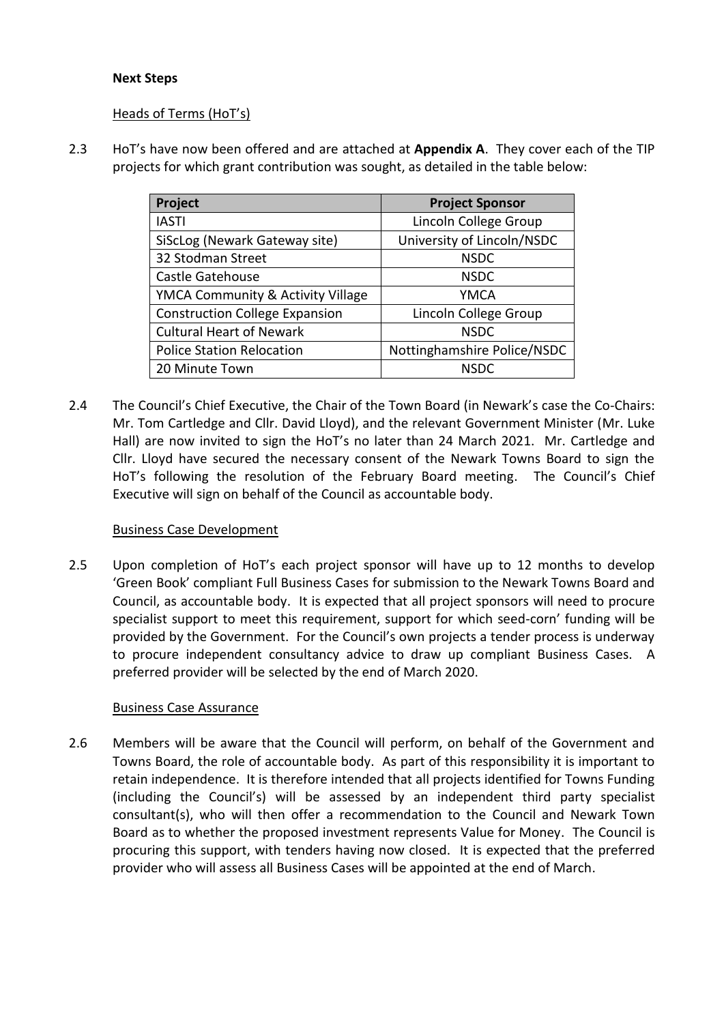# **Next Steps**

## Heads of Terms (HoT's)

2.3 HoT's have now been offered and are attached at **Appendix A**. They cover each of the TIP projects for which grant contribution was sought, as detailed in the table below:

| Project                               | <b>Project Sponsor</b>      |
|---------------------------------------|-----------------------------|
| <b>IASTI</b>                          | Lincoln College Group       |
| SiScLog (Newark Gateway site)         | University of Lincoln/NSDC  |
| 32 Stodman Street                     | <b>NSDC</b>                 |
| Castle Gatehouse                      | <b>NSDC</b>                 |
| YMCA Community & Activity Village     | <b>YMCA</b>                 |
| <b>Construction College Expansion</b> | Lincoln College Group       |
| <b>Cultural Heart of Newark</b>       | <b>NSDC</b>                 |
| <b>Police Station Relocation</b>      | Nottinghamshire Police/NSDC |
| 20 Minute Town                        | <b>NSDC</b>                 |

2.4 The Council's Chief Executive, the Chair of the Town Board (in Newark's case the Co-Chairs: Mr. Tom Cartledge and Cllr. David Lloyd), and the relevant Government Minister (Mr. Luke Hall) are now invited to sign the HoT's no later than 24 March 2021. Mr. Cartledge and Cllr. Lloyd have secured the necessary consent of the Newark Towns Board to sign the HoT's following the resolution of the February Board meeting. The Council's Chief Executive will sign on behalf of the Council as accountable body.

# Business Case Development

2.5 Upon completion of HoT's each project sponsor will have up to 12 months to develop 'Green Book' compliant Full Business Cases for submission to the Newark Towns Board and Council, as accountable body. It is expected that all project sponsors will need to procure specialist support to meet this requirement, support for which seed-corn' funding will be provided by the Government. For the Council's own projects a tender process is underway to procure independent consultancy advice to draw up compliant Business Cases. A preferred provider will be selected by the end of March 2020.

### Business Case Assurance

2.6 Members will be aware that the Council will perform, on behalf of the Government and Towns Board, the role of accountable body. As part of this responsibility it is important to retain independence. It is therefore intended that all projects identified for Towns Funding (including the Council's) will be assessed by an independent third party specialist consultant(s), who will then offer a recommendation to the Council and Newark Town Board as to whether the proposed investment represents Value for Money. The Council is procuring this support, with tenders having now closed. It is expected that the preferred provider who will assess all Business Cases will be appointed at the end of March.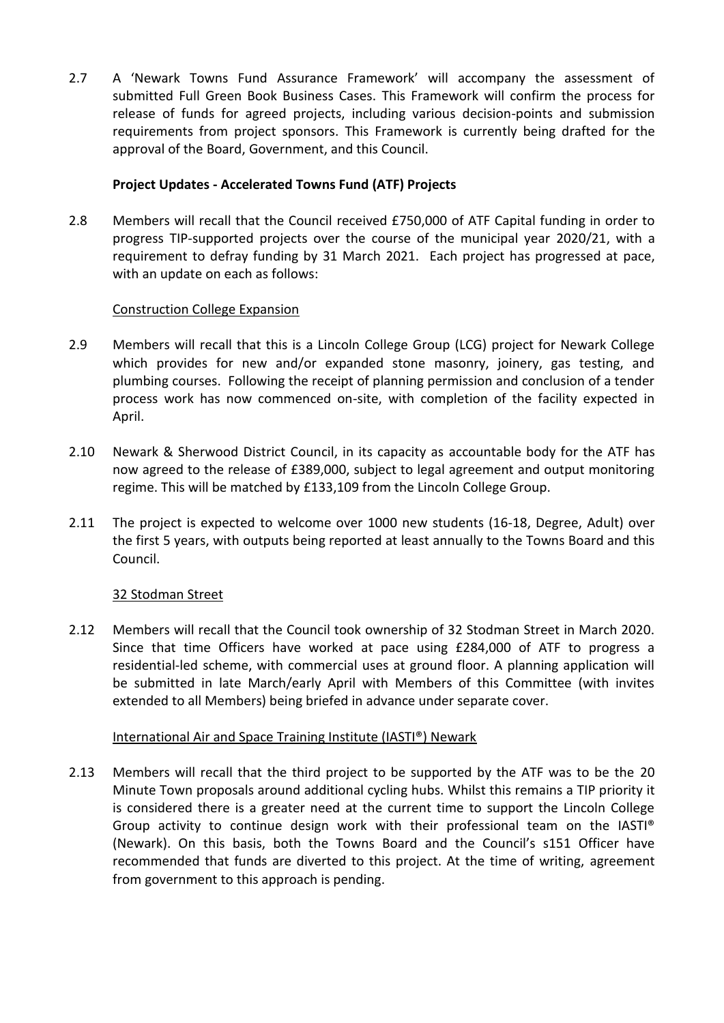2.7 A 'Newark Towns Fund Assurance Framework' will accompany the assessment of submitted Full Green Book Business Cases. This Framework will confirm the process for release of funds for agreed projects, including various decision-points and submission requirements from project sponsors. This Framework is currently being drafted for the approval of the Board, Government, and this Council.

# **Project Updates - Accelerated Towns Fund (ATF) Projects**

2.8 Members will recall that the Council received £750,000 of ATF Capital funding in order to progress TIP-supported projects over the course of the municipal year 2020/21, with a requirement to defray funding by 31 March 2021. Each project has progressed at pace, with an update on each as follows:

# Construction College Expansion

- 2.9 Members will recall that this is a Lincoln College Group (LCG) project for Newark College which provides for new and/or expanded stone masonry, joinery, gas testing, and plumbing courses. Following the receipt of planning permission and conclusion of a tender process work has now commenced on-site, with completion of the facility expected in April.
- 2.10 Newark & Sherwood District Council, in its capacity as accountable body for the ATF has now agreed to the release of £389,000, subject to legal agreement and output monitoring regime. This will be matched by £133,109 from the Lincoln College Group.
- 2.11 The project is expected to welcome over 1000 new students (16-18, Degree, Adult) over the first 5 years, with outputs being reported at least annually to the Towns Board and this Council.

# 32 Stodman Street

2.12 Members will recall that the Council took ownership of 32 Stodman Street in March 2020. Since that time Officers have worked at pace using £284,000 of ATF to progress a residential-led scheme, with commercial uses at ground floor. A planning application will be submitted in late March/early April with Members of this Committee (with invites extended to all Members) being briefed in advance under separate cover.

# International Air and Space Training Institute (IASTI®) Newark

2.13 Members will recall that the third project to be supported by the ATF was to be the 20 Minute Town proposals around additional cycling hubs. Whilst this remains a TIP priority it is considered there is a greater need at the current time to support the Lincoln College Group activity to continue design work with their professional team on the IASTI® (Newark). On this basis, both the Towns Board and the Council's s151 Officer have recommended that funds are diverted to this project. At the time of writing, agreement from government to this approach is pending.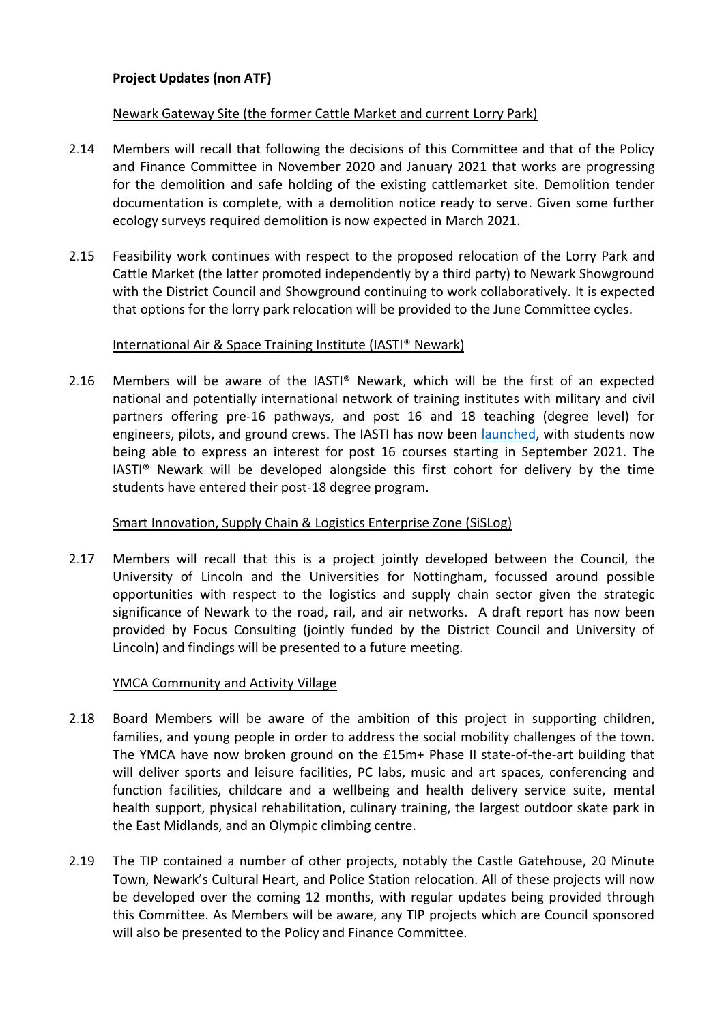# **Project Updates (non ATF)**

## Newark Gateway Site (the former Cattle Market and current Lorry Park)

- 2.14 Members will recall that following the decisions of this Committee and that of the Policy and Finance Committee in November 2020 and January 2021 that works are progressing for the demolition and safe holding of the existing cattlemarket site. Demolition tender documentation is complete, with a demolition notice ready to serve. Given some further ecology surveys required demolition is now expected in March 2021.
- 2.15 Feasibility work continues with respect to the proposed relocation of the Lorry Park and Cattle Market (the latter promoted independently by a third party) to Newark Showground with the District Council and Showground continuing to work collaboratively. It is expected that options for the lorry park relocation will be provided to the June Committee cycles.

### International Air & Space Training Institute (IASTI® Newark)

2.16 Members will be aware of the IASTI® Newark, which will be the first of an expected national and potentially international network of training institutes with military and civil partners offering pre-16 pathways, and post 16 and 18 teaching (degree level) for engineers, pilots, and ground crews. The IASTI has now been [launched,](https://iasti-newark.co.uk/) with students now being able to express an interest for post 16 courses starting in September 2021. The IASTI® Newark will be developed alongside this first cohort for delivery by the time students have entered their post-18 degree program.

# Smart Innovation, Supply Chain & Logistics Enterprise Zone (SiSLog)

2.17 Members will recall that this is a project jointly developed between the Council, the University of Lincoln and the Universities for Nottingham, focussed around possible opportunities with respect to the logistics and supply chain sector given the strategic significance of Newark to the road, rail, and air networks. A draft report has now been provided by Focus Consulting (jointly funded by the District Council and University of Lincoln) and findings will be presented to a future meeting.

# YMCA Community and Activity Village

- 2.18 Board Members will be aware of the ambition of this project in supporting children, families, and young people in order to address the social mobility challenges of the town. The YMCA have now broken ground on the £15m+ Phase II state-of-the-art building that will deliver sports and leisure facilities, PC labs, music and art spaces, conferencing and function facilities, childcare and a wellbeing and health delivery service suite, mental health support, physical rehabilitation, culinary training, the largest outdoor skate park in the East Midlands, and an Olympic climbing centre.
- 2.19 The TIP contained a number of other projects, notably the Castle Gatehouse, 20 Minute Town, Newark's Cultural Heart, and Police Station relocation. All of these projects will now be developed over the coming 12 months, with regular updates being provided through this Committee. As Members will be aware, any TIP projects which are Council sponsored will also be presented to the Policy and Finance Committee.